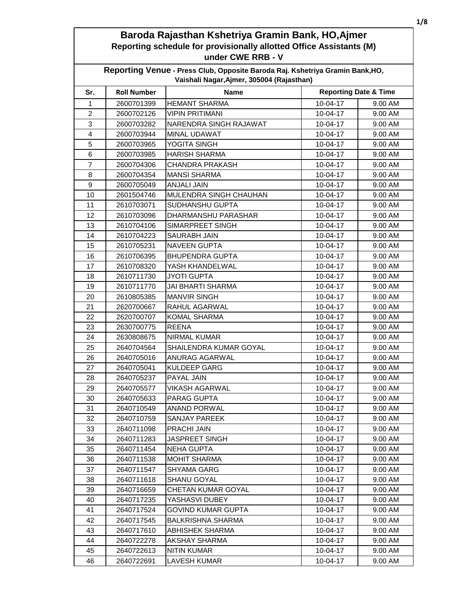| Reporting Venue - Press Club, Opposite Baroda Raj. Kshetriya Gramin Bank, HO,<br>Vaishali Nagar, Ajmer, 305004 (Rajasthan) |                    |                            |                                  |         |
|----------------------------------------------------------------------------------------------------------------------------|--------------------|----------------------------|----------------------------------|---------|
| Sr.                                                                                                                        | <b>Roll Number</b> | <b>Name</b>                | <b>Reporting Date &amp; Time</b> |         |
| 1                                                                                                                          | 2600701399         | <b>HEMANT SHARMA</b>       | 10-04-17                         | 9.00 AM |
| $\overline{2}$                                                                                                             | 2600702126         | <b>VIPIN PRITIMANI</b>     | 10-04-17                         | 9.00 AM |
| 3                                                                                                                          | 2600703282         | NARENDRA SINGH RAJAWAT     | 10-04-17                         | 9.00 AM |
| 4                                                                                                                          | 2600703944         | MINAL UDAWAT               | 10-04-17                         | 9.00 AM |
| 5                                                                                                                          | 2600703965         | YOGITA SINGH               | 10-04-17                         | 9.00 AM |
| $\,6$                                                                                                                      | 2600703985         | <b>HARISH SHARMA</b>       | 10-04-17                         | 9.00 AM |
| 7                                                                                                                          | 2600704306         | <b>CHANDRA PRAKASH</b>     | 10-04-17                         | 9.00 AM |
| 8                                                                                                                          | 2600704354         | <b>MANSI SHARMA</b>        | 10-04-17                         | 9.00 AM |
| 9                                                                                                                          | 2600705049         | <b>ANJALI JAIN</b>         | 10-04-17                         | 9.00 AM |
| 10                                                                                                                         | 2601504746         | MULENDRA SINGH CHAUHAN     | 10-04-17                         | 9.00 AM |
| 11                                                                                                                         | 2610703071         | <b>SUDHANSHU GUPTA</b>     | 10-04-17                         | 9.00 AM |
| 12                                                                                                                         | 2610703096         | <b>DHARMANSHU PARASHAR</b> | 10-04-17                         | 9.00 AM |
| 13                                                                                                                         | 2610704106         | SIMARPREET SINGH           | 10-04-17                         | 9.00 AM |
| 14                                                                                                                         | 2610704223         | SAURABH JAIN               | 10-04-17                         | 9.00 AM |
| 15                                                                                                                         | 2610705231         | <b>NAVEEN GUPTA</b>        | 10-04-17                         | 9.00 AM |
| 16                                                                                                                         | 2610706395         | <b>BHUPENDRA GUPTA</b>     | 10-04-17                         | 9.00 AM |
| 17                                                                                                                         | 2610708320         | YASH KHANDELWAL            | 10-04-17                         | 9.00 AM |
| 18                                                                                                                         | 2610711730         | <b>JYOTI GUPTA</b>         | 10-04-17                         | 9.00 AM |
| 19                                                                                                                         | 2610711770         | <b>JAI BHARTI SHARMA</b>   | 10-04-17                         | 9.00 AM |
| 20                                                                                                                         | 2610805385         | <b>MANVIR SINGH</b>        | 10-04-17                         | 9.00 AM |
| 21                                                                                                                         | 2620700667         | RAHUL AGARWAL              | 10-04-17                         | 9.00 AM |
| 22                                                                                                                         | 2620700707         | <b>KOMAL SHARMA</b>        | 10-04-17                         | 9.00 AM |
| 23                                                                                                                         | 2630700775         | <b>REENA</b>               | 10-04-17                         | 9.00 AM |
| 24                                                                                                                         | 2630808675         | <b>NIRMAL KUMAR</b>        | 10-04-17                         | 9.00 AM |
| 25                                                                                                                         | 2640704564         | SHAILENDRA KUMAR GOYAL     | 10-04-17                         | 9.00 AM |
| 26                                                                                                                         | 2640705016         | ANURAG AGARWAL             | 10-04-17                         | 9.00 AM |
| 27                                                                                                                         | 2640705041         | <b>KULDEEP GARG</b>        | 10-04-17                         | 9.00 AM |
| 28                                                                                                                         | 2640705237         | <b>PAYAL JAIN</b>          | 10-04-17                         | 9.00 AM |
| 29                                                                                                                         | 2640705577         | <b>VIKASH AGARWAL</b>      | 10-04-17                         | 9.00 AM |
| 30                                                                                                                         | 2640705633         | PARAG GUPTA                | 10-04-17                         | 9.00 AM |
| 31                                                                                                                         | 2640710549         | ANAND PORWAL               | 10-04-17                         | 9.00 AM |
| 32                                                                                                                         | 2640710759         | <b>SANJAY PAREEK</b>       | 10-04-17                         | 9.00 AM |
| 33                                                                                                                         | 2640711098         | PRACHI JAIN                | 10-04-17                         | 9.00 AM |
| 34                                                                                                                         | 2640711283         | <b>JASPREET SINGH</b>      | 10-04-17                         | 9.00 AM |
| 35                                                                                                                         | 2640711454         | <b>NEHA GUPTA</b>          | 10-04-17                         | 9.00 AM |
| 36                                                                                                                         | 2640711538         | <b>MOHIT SHARMA</b>        | 10-04-17                         | 9.00 AM |
| 37                                                                                                                         | 2640711547         | <b>SHYAMA GARG</b>         | 10-04-17                         | 9.00 AM |
| 38                                                                                                                         | 2640711618         | <b>SHANU GOYAL</b>         | 10-04-17                         | 9.00 AM |
| 39                                                                                                                         | 2640716659         | CHETAN KUMAR GOYAL         | 10-04-17                         | 9.00 AM |
| 40                                                                                                                         | 2640717235         | YASHASVI DUBEY             | 10-04-17                         | 9.00 AM |
| 41                                                                                                                         | 2640717524         | <b>GOVIND KUMAR GUPTA</b>  | 10-04-17                         | 9.00 AM |
| 42                                                                                                                         | 2640717545         | <b>BALKRISHNA SHARMA</b>   | 10-04-17                         | 9.00 AM |
| 43                                                                                                                         | 2640717610         | <b>ABHISHEK SHARMA</b>     | 10-04-17                         | 9.00 AM |
| 44                                                                                                                         | 2640722278         | AKSHAY SHARMA              | 10-04-17                         | 9.00 AM |
| 45                                                                                                                         | 2640722613         | <b>NITIN KUMAR</b>         | 10-04-17                         | 9.00 AM |
| 46                                                                                                                         | 2640722691         | LAVESH KUMAR               | 10-04-17                         | 9.00 AM |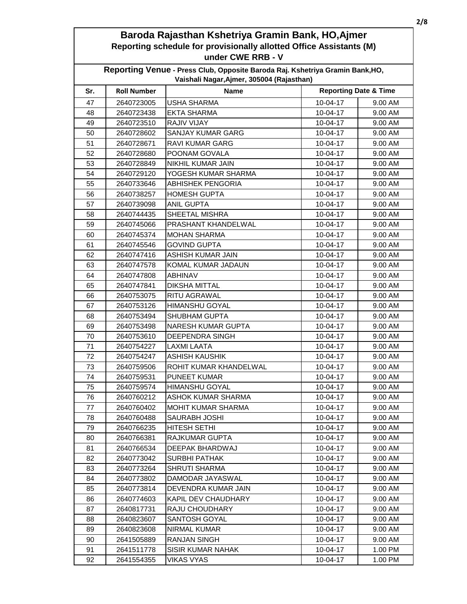| Reporting Venue - Press Club, Opposite Baroda Raj. Kshetriya Gramin Bank, HO,<br>Vaishali Nagar, Ajmer, 305004 (Rajasthan) |                    |                           |                |                                  |  |
|----------------------------------------------------------------------------------------------------------------------------|--------------------|---------------------------|----------------|----------------------------------|--|
| Sr.                                                                                                                        | <b>Roll Number</b> | <b>Name</b>               |                | <b>Reporting Date &amp; Time</b> |  |
| 47                                                                                                                         | 2640723005         | <b>USHA SHARMA</b>        | $10 - 04 - 17$ | 9.00 AM                          |  |
| 48                                                                                                                         | 2640723438         | <b>EKTA SHARMA</b>        | 10-04-17       | 9.00 AM                          |  |
| 49                                                                                                                         | 2640723510         | <b>RAJIV VIJAY</b>        | 10-04-17       | 9.00 AM                          |  |
| 50                                                                                                                         | 2640728602         | <b>SANJAY KUMAR GARG</b>  | 10-04-17       | 9.00 AM                          |  |
| 51                                                                                                                         | 2640728671         | <b>RAVI KUMAR GARG</b>    | 10-04-17       | 9.00 AM                          |  |
| 52                                                                                                                         | 2640728680         | POONAM GOVALA             | 10-04-17       | 9.00 AM                          |  |
| 53                                                                                                                         | 2640728849         | NIKHIL KUMAR JAIN         | 10-04-17       | 9.00 AM                          |  |
| 54                                                                                                                         | 2640729120         | YOGESH KUMAR SHARMA       | 10-04-17       | 9.00 AM                          |  |
| 55                                                                                                                         | 2640733646         | <b>ABHISHEK PENGORIA</b>  | 10-04-17       | 9.00 AM                          |  |
| 56                                                                                                                         | 2640738257         | <b>HOMESH GUPTA</b>       | 10-04-17       | 9.00 AM                          |  |
| 57                                                                                                                         | 2640739098         | <b>ANIL GUPTA</b>         | 10-04-17       | 9.00 AM                          |  |
| 58                                                                                                                         | 2640744435         | <b>SHEETAL MISHRA</b>     | 10-04-17       | 9.00 AM                          |  |
| 59                                                                                                                         | 2640745066         | PRASHANT KHANDELWAL       | 10-04-17       | 9.00 AM                          |  |
| 60                                                                                                                         | 2640745374         | <b>MOHAN SHARMA</b>       | 10-04-17       | 9.00 AM                          |  |
| 61                                                                                                                         | 2640745546         | <b>GOVIND GUPTA</b>       | 10-04-17       | 9.00 AM                          |  |
| 62                                                                                                                         | 2640747416         | ASHISH KUMAR JAIN         | 10-04-17       | 9.00 AM                          |  |
| 63                                                                                                                         | 2640747578         | KOMAL KUMAR JADAUN        | 10-04-17       | 9.00 AM                          |  |
| 64                                                                                                                         | 2640747808         | <b>ABHINAV</b>            | 10-04-17       | 9.00 AM                          |  |
| 65                                                                                                                         | 2640747841         | <b>DIKSHA MITTAL</b>      | 10-04-17       | 9.00 AM                          |  |
| 66                                                                                                                         | 2640753075         | <b>RITU AGRAWAL</b>       | 10-04-17       | 9.00 AM                          |  |
| 67                                                                                                                         | 2640753126         | <b>HIMANSHU GOYAL</b>     | 10-04-17       | 9.00 AM                          |  |
| 68                                                                                                                         | 2640753494         | <b>SHUBHAM GUPTA</b>      | 10-04-17       | 9.00 AM                          |  |
| 69                                                                                                                         | 2640753498         | <b>NARESH KUMAR GUPTA</b> | 10-04-17       | 9.00 AM                          |  |
| 70                                                                                                                         | 2640753610         | DEEPENDRA SINGH           | 10-04-17       | 9.00 AM                          |  |
| 71                                                                                                                         | 2640754227         | <b>LAXMI LAATA</b>        | 10-04-17       | 9.00 AM                          |  |
| 72                                                                                                                         | 2640754247         | ASHISH KAUSHIK            | 10-04-17       | 9.00 AM                          |  |
| 73                                                                                                                         | 2640759506         | ROHIT KUMAR KHANDELWAL    | 10-04-17       | 9.00 AM                          |  |
| 74                                                                                                                         | 2640759531         | <b>PUNEET KUMAR</b>       | 10-04-17       | 9.00 AM                          |  |
| 75                                                                                                                         | 2640759574         | <b>HIMANSHU GOYAL</b>     | 10-04-17       | 9.00 AM                          |  |
| 76                                                                                                                         | 2640760212         | ASHOK KUMAR SHARMA        | 10-04-17       | 9.00 AM                          |  |
| 77                                                                                                                         | 2640760402         | <b>MOHIT KUMAR SHARMA</b> | 10-04-17       | 9.00 AM                          |  |
| 78                                                                                                                         | 2640760488         | SAURABH JOSHI             | 10-04-17       | 9.00 AM                          |  |
| 79                                                                                                                         | 2640766235         | <b>HITESH SETHI</b>       | 10-04-17       | 9.00 AM                          |  |
| 80                                                                                                                         | 2640766381         | <b>RAJKUMAR GUPTA</b>     | 10-04-17       | 9.00 AM                          |  |
| 81                                                                                                                         | 2640766534         | DEEPAK BHARDWAJ           | 10-04-17       | 9.00 AM                          |  |
| 82                                                                                                                         | 2640773042         | <b>SURBHI PATHAK</b>      | 10-04-17       | 9.00 AM                          |  |
| 83                                                                                                                         | 2640773264         | <b>SHRUTI SHARMA</b>      | 10-04-17       | 9.00 AM                          |  |
| 84                                                                                                                         | 2640773802         | DAMODAR JAYASWAL          | 10-04-17       | 9.00 AM                          |  |
| 85                                                                                                                         | 2640773814         | DEVENDRA KUMAR JAIN       | 10-04-17       | 9.00 AM                          |  |
| 86                                                                                                                         | 2640774603         | KAPIL DEV CHAUDHARY       | 10-04-17       | 9.00 AM                          |  |
| 87                                                                                                                         | 2640817731         | RAJU CHOUDHARY            | 10-04-17       | 9.00 AM                          |  |
| 88                                                                                                                         | 2640823607         | SANTOSH GOYAL             | 10-04-17       | 9.00 AM                          |  |
| 89                                                                                                                         | 2640823608         | NIRMAL KUMAR              | 10-04-17       | 9.00 AM                          |  |
| 90                                                                                                                         | 2641505889         | <b>RANJAN SINGH</b>       | 10-04-17       | 9.00 AM                          |  |
| 91                                                                                                                         | 2641511778         | <b>SISIR KUMAR NAHAK</b>  | 10-04-17       | 1.00 PM                          |  |
| 92                                                                                                                         | 2641554355         | <b>VIKAS VYAS</b>         | 10-04-17       | 1.00 PM                          |  |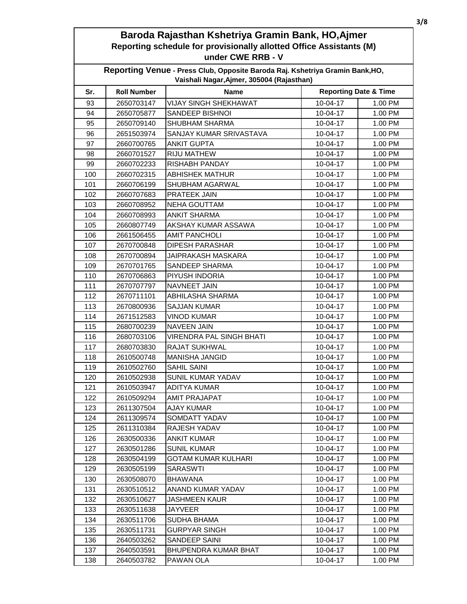| Reporting Venue - Press Club, Opposite Baroda Raj. Kshetriya Gramin Bank, HO,<br>Vaishali Nagar, Ajmer, 305004 (Rajasthan) |                    |                                 |            |                                  |  |
|----------------------------------------------------------------------------------------------------------------------------|--------------------|---------------------------------|------------|----------------------------------|--|
| Sr.                                                                                                                        | <b>Roll Number</b> | <b>Name</b>                     |            | <b>Reporting Date &amp; Time</b> |  |
| 93                                                                                                                         | 2650703147         | <b>VIJAY SINGH SHEKHAWAT</b>    | 10-04-17   | 1.00 PM                          |  |
| 94                                                                                                                         | 2650705877         | SANDEEP BISHNOI                 | 10-04-17   | 1.00 PM                          |  |
| 95                                                                                                                         | 2650709140         | <b>SHUBHAM SHARMA</b>           | 10-04-17   | 1.00 PM                          |  |
| 96                                                                                                                         | 2651503974         | SANJAY KUMAR SRIVASTAVA         | 10-04-17   | 1.00 PM                          |  |
| 97                                                                                                                         | 2660700765         | <b>ANKIT GUPTA</b>              | 10-04-17   | 1.00 PM                          |  |
| 98                                                                                                                         | 2660701527         | <b>RIJU MATHEW</b>              | 10-04-17   | 1.00 PM                          |  |
| 99                                                                                                                         | 2660702233         | <b>RISHABH PANDAY</b>           | 10-04-17   | 1.00 PM                          |  |
| 100                                                                                                                        | 2660702315         | <b>ABHISHEK MATHUR</b>          | 10-04-17   | 1.00 PM                          |  |
| 101                                                                                                                        | 2660706199         | SHUBHAM AGARWAL                 | 10-04-17   | 1.00 PM                          |  |
| 102                                                                                                                        | 2660707683         | <b>PRATEEK JAIN</b>             | 10-04-17   | 1.00 PM                          |  |
| 103                                                                                                                        | 2660708952         | <b>NEHA GOUTTAM</b>             | 10-04-17   | 1.00 PM                          |  |
| 104                                                                                                                        | 2660708993         | <b>ANKIT SHARMA</b>             | 10-04-17   | 1.00 PM                          |  |
| 105                                                                                                                        | 2660807749         | AKSHAY KUMAR ASSAWA             | 10-04-17   | 1.00 PM                          |  |
| 106                                                                                                                        | 2661506455         | <b>AMIT PANCHOLI</b>            | $10-04-17$ | 1.00 PM                          |  |
| 107                                                                                                                        | 2670700848         | <b>DIPESH PARASHAR</b>          | 10-04-17   | 1.00 PM                          |  |
| 108                                                                                                                        | 2670700894         | JAIPRAKASH MASKARA              | 10-04-17   | 1.00 PM                          |  |
| 109                                                                                                                        | 2670701765         | SANDEEP SHARMA                  | 10-04-17   | 1.00 PM                          |  |
| 110                                                                                                                        | 2670706863         | <b>PIYUSH INDORIA</b>           | 10-04-17   | 1.00 PM                          |  |
| 111                                                                                                                        | 2670707797         | <b>NAVNEET JAIN</b>             | 10-04-17   | 1.00 PM                          |  |
| 112                                                                                                                        | 2670711101         | ABHILASHA SHARMA                | 10-04-17   | 1.00 PM                          |  |
| 113                                                                                                                        | 2670800936         | <b>SAJJAN KUMAR</b>             | 10-04-17   | 1.00 PM                          |  |
| 114                                                                                                                        | 2671512583         | <b>VINOD KUMAR</b>              | 10-04-17   | 1.00 PM                          |  |
| 115                                                                                                                        | 2680700239         | <b>NAVEEN JAIN</b>              | 10-04-17   | 1.00 PM                          |  |
| 116                                                                                                                        | 2680703106         | <b>VIRENDRA PAL SINGH BHATI</b> | 10-04-17   | 1.00 PM                          |  |
| 117                                                                                                                        | 2680703830         | <b>RAJAT SUKHWAL</b>            | 10-04-17   | 1.00 PM                          |  |
| 118                                                                                                                        | 2610500748         | <b>MANISHA JANGID</b>           | 10-04-17   | 1.00 PM                          |  |
| 119                                                                                                                        | 2610502760         | <b>SAHIL SAINI</b>              | 10-04-17   | 1.00 PM                          |  |
| 120                                                                                                                        | 2610502938         | SUNIL KUMAR YADAV               | 10-04-17   | 1.00 PM                          |  |
| 121                                                                                                                        | 2610503947         | <b>ADITYA KUMAR</b>             | 10-04-17   | 1.00 PM                          |  |
| 122                                                                                                                        | 2610509294         | <b>AMIT PRAJAPAT</b>            | 10-04-17   | 1.00 PM                          |  |
| 123                                                                                                                        | 2611307504         | <b>AJAY KUMAR</b>               | 10-04-17   | 1.00 PM                          |  |
| 124                                                                                                                        | 2611309574         | SOMDATT YADAV                   | 10-04-17   | 1.00 PM                          |  |
| 125                                                                                                                        | 2611310384         | RAJESH YADAV                    | 10-04-17   | 1.00 PM                          |  |
| 126                                                                                                                        | 2630500336         | <b>ANKIT KUMAR</b>              | 10-04-17   | 1.00 PM                          |  |
| 127                                                                                                                        | 2630501286         | <b>SUNIL KUMAR</b>              | 10-04-17   | 1.00 PM                          |  |
| 128                                                                                                                        | 2630504199         | <b>GOTAM KUMAR KULHARI</b>      | 10-04-17   | 1.00 PM                          |  |
| 129                                                                                                                        | 2630505199         | <b>SARASWTI</b>                 | 10-04-17   | 1.00 PM                          |  |
| 130                                                                                                                        | 2630508070         | <b>BHAWANA</b>                  | 10-04-17   | 1.00 PM                          |  |
| 131                                                                                                                        | 2630510512         | ANAND KUMAR YADAV               | 10-04-17   | 1.00 PM                          |  |
| 132                                                                                                                        | 2630510627         | <b>JASHMEEN KAUR</b>            | 10-04-17   | 1.00 PM                          |  |
| 133                                                                                                                        | 2630511638         | <b>JAYVEER</b>                  | 10-04-17   | 1.00 PM                          |  |
| 134                                                                                                                        | 2630511706         | SUDHA BHAMA                     | 10-04-17   | 1.00 PM                          |  |
| 135                                                                                                                        | 2630511731         | <b>GURPYAR SINGH</b>            | 10-04-17   | 1.00 PM                          |  |
| 136                                                                                                                        | 2640503262         | SANDEEP SAINI                   | 10-04-17   | 1.00 PM                          |  |
| 137                                                                                                                        | 2640503591         | <b>BHUPENDRA KUMAR BHAT</b>     | 10-04-17   | 1.00 PM                          |  |
| 138                                                                                                                        | 2640503782         | PAWAN OLA                       | 10-04-17   | 1.00 PM                          |  |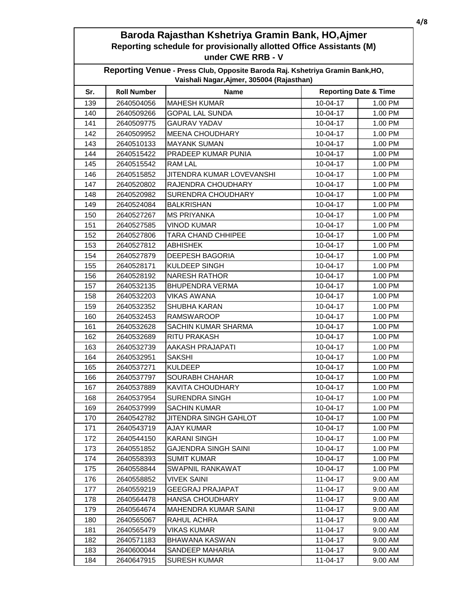| Reporting Venue - Press Club, Opposite Baroda Raj. Kshetriya Gramin Bank, HO,<br>Vaishali Nagar, Ajmer, 305004 (Rajasthan) |                    |                              |                                  |         |  |
|----------------------------------------------------------------------------------------------------------------------------|--------------------|------------------------------|----------------------------------|---------|--|
| Sr.                                                                                                                        | <b>Roll Number</b> | <b>Name</b>                  | <b>Reporting Date &amp; Time</b> |         |  |
| 139                                                                                                                        | 2640504056         | <b>MAHESH KUMAR</b>          | 10-04-17                         | 1.00 PM |  |
| 140                                                                                                                        | 2640509266         | <b>GOPAL LAL SUNDA</b>       | 10-04-17                         | 1.00 PM |  |
| 141                                                                                                                        | 2640509775         | <b>GAURAV YADAV</b>          | 10-04-17                         | 1.00 PM |  |
| 142                                                                                                                        | 2640509952         | <b>MEENA CHOUDHARY</b>       | 10-04-17                         | 1.00 PM |  |
| 143                                                                                                                        | 2640510133         | <b>MAYANK SUMAN</b>          | 10-04-17                         | 1.00 PM |  |
| 144                                                                                                                        | 2640515422         | PRADEEP KUMAR PUNIA          | 10-04-17                         | 1.00 PM |  |
| 145                                                                                                                        | 2640515542         | RAM LAL                      | 10-04-17                         | 1.00 PM |  |
| 146                                                                                                                        | 2640515852         | JITENDRA KUMAR LOVEVANSHI    | 10-04-17                         | 1.00 PM |  |
| 147                                                                                                                        | 2640520802         | RAJENDRA CHOUDHARY           | 10-04-17                         | 1.00 PM |  |
| 148                                                                                                                        | 2640520982         | <b>SURENDRA CHOUDHARY</b>    | 10-04-17                         | 1.00 PM |  |
| 149                                                                                                                        | 2640524084         | <b>BALKRISHAN</b>            | 10-04-17                         | 1.00 PM |  |
| 150                                                                                                                        | 2640527267         | <b>MS PRIYANKA</b>           | 10-04-17                         | 1.00 PM |  |
| 151                                                                                                                        | 2640527585         | <b>VINOD KUMAR</b>           | 10-04-17                         | 1.00 PM |  |
| 152                                                                                                                        | 2640527806         | <b>TARA CHAND CHHIPEE</b>    | 10-04-17                         | 1.00 PM |  |
| 153                                                                                                                        | 2640527812         | <b>ABHISHEK</b>              | 10-04-17                         | 1.00 PM |  |
| 154                                                                                                                        | 2640527879         | <b>DEEPESH BAGORIA</b>       | 10-04-17                         | 1.00 PM |  |
| 155                                                                                                                        | 2640528171         | <b>KULDEEP SINGH</b>         | 10-04-17                         | 1.00 PM |  |
| 156                                                                                                                        | 2640528192         | <b>NARESH RATHOR</b>         | 10-04-17                         | 1.00 PM |  |
| 157                                                                                                                        | 2640532135         | <b>BHUPENDRA VERMA</b>       | 10-04-17                         | 1.00 PM |  |
| 158                                                                                                                        | 2640532203         | <b>VIKAS AWANA</b>           | 10-04-17                         | 1.00 PM |  |
| 159                                                                                                                        | 2640532352         | <b>SHUBHA KARAN</b>          | 10-04-17                         | 1.00 PM |  |
| 160                                                                                                                        | 2640532453         | <b>RAMSWAROOP</b>            | 10-04-17                         | 1.00 PM |  |
| 161                                                                                                                        | 2640532628         | SACHIN KUMAR SHARMA          | 10-04-17                         | 1.00 PM |  |
| 162                                                                                                                        | 2640532689         | <b>RITU PRAKASH</b>          | 10-04-17                         | 1.00 PM |  |
| 163                                                                                                                        | 2640532739         | AAKASH PRAJAPATI             | 10-04-17                         | 1.00 PM |  |
| 164                                                                                                                        | 2640532951         | <b>SAKSHI</b>                | 10-04-17                         | 1.00 PM |  |
| 165                                                                                                                        | 2640537271         | <b>KULDEEP</b>               | 10-04-17                         | 1.00 PM |  |
| 166                                                                                                                        | 2640537797         | <b>SOURABH CHAHAR</b>        | 10-04-17                         | 1.00 PM |  |
| 167                                                                                                                        | 2640537889         | <b>KAVITA CHOUDHARY</b>      | 10-04-17                         | 1.00 PM |  |
| 168                                                                                                                        | 2640537954         | <b>SURENDRA SINGH</b>        | 10-04-17                         | 1.00 PM |  |
| 169                                                                                                                        | 2640537999         | <b>SACHIN KUMAR</b>          | 10-04-17                         | 1.00 PM |  |
| 170                                                                                                                        | 2640542782         | <b>JITENDRA SINGH GAHLOT</b> | 10-04-17                         | 1.00 PM |  |
| 171                                                                                                                        | 2640543719         | <b>AJAY KUMAR</b>            | 10-04-17                         | 1.00 PM |  |
| 172                                                                                                                        | 2640544150         | <b>KARANI SINGH</b>          | 10-04-17                         | 1.00 PM |  |
| 173                                                                                                                        | 2640551852         | <b>GAJENDRA SINGH SAINI</b>  | 10-04-17                         | 1.00 PM |  |
| 174                                                                                                                        | 2640558393         | <b>SUMIT KUMAR</b>           | 10-04-17                         | 1.00 PM |  |
| 175                                                                                                                        | 2640558844         | SWAPNIL RANKAWAT             | 10-04-17                         | 1.00 PM |  |
| 176                                                                                                                        | 2640558852         | <b>VIVEK SAINI</b>           | 11-04-17                         | 9.00 AM |  |
| 177                                                                                                                        | 2640559219         | <b>GEEGRAJ PRAJAPAT</b>      | 11-04-17                         | 9.00 AM |  |
| 178                                                                                                                        | 2640564478         | <b>HANSA CHOUDHARY</b>       | $11-04-17$                       | 9.00 AM |  |
| 179                                                                                                                        | 2640564674         | <b>MAHENDRA KUMAR SAINI</b>  | 11-04-17                         | 9.00 AM |  |
| 180                                                                                                                        | 2640565067         | RAHUL ACHRA                  | 11-04-17                         | 9.00 AM |  |
| 181                                                                                                                        | 2640565479         | VIKAS KUMAR                  | 11-04-17                         | 9.00 AM |  |
| 182                                                                                                                        | 2640571183         | <b>BHAWANA KASWAN</b>        | 11-04-17                         | 9.00 AM |  |
| 183                                                                                                                        | 2640600044         | SANDEEP MAHARIA              | 11-04-17                         | 9.00 AM |  |
| 184                                                                                                                        | 2640647915         | <b>SURESH KUMAR</b>          | 11-04-17                         | 9.00 AM |  |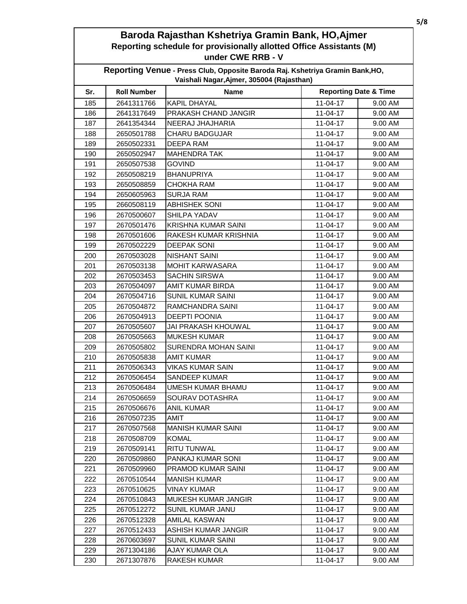| Reporting Venue - Press Club, Opposite Baroda Raj. Kshetriya Gramin Bank, HO,<br>Vaishali Nagar, Ajmer, 305004 (Rajasthan) |                    |                              |                                  |         |  |
|----------------------------------------------------------------------------------------------------------------------------|--------------------|------------------------------|----------------------------------|---------|--|
| Sr.                                                                                                                        | <b>Roll Number</b> | <b>Name</b>                  | <b>Reporting Date &amp; Time</b> |         |  |
| 185                                                                                                                        | 2641311766         | <b>KAPIL DHAYAL</b>          | $11-04-17$                       | 9.00 AM |  |
| 186                                                                                                                        | 2641317649         | PRAKASH CHAND JANGIR         | 11-04-17                         | 9.00 AM |  |
| 187                                                                                                                        | 2641354344         | NEERAJ JHAJHARIA             | $11-04-17$                       | 9.00 AM |  |
| 188                                                                                                                        | 2650501788         | <b>CHARU BADGUJAR</b>        | $11-04-17$                       | 9.00 AM |  |
| 189                                                                                                                        | 2650502331         | DEEPA RAM                    | $11-04-17$                       | 9.00 AM |  |
| 190                                                                                                                        | 2650502947         | <b>MAHENDRA TAK</b>          | 11-04-17                         | 9.00 AM |  |
| 191                                                                                                                        | 2650507538         | <b>GOVIND</b>                | 11-04-17                         | 9.00 AM |  |
| 192                                                                                                                        | 2650508219         | <b>BHANUPRIYA</b>            | 11-04-17                         | 9.00 AM |  |
| 193                                                                                                                        | 2650508859         | <b>CHOKHA RAM</b>            | $11-04-17$                       | 9.00 AM |  |
| 194                                                                                                                        | 2650605963         | <b>SURJA RAM</b>             | 11-04-17                         | 9.00 AM |  |
| 195                                                                                                                        | 2660508119         | <b>ABHISHEK SONI</b>         | 11-04-17                         | 9.00 AM |  |
| 196                                                                                                                        | 2670500607         | SHILPA YADAV                 | 11-04-17                         | 9.00 AM |  |
| 197                                                                                                                        | 2670501476         | <b>KRISHNA KUMAR SAINI</b>   | $11-04-17$                       | 9.00 AM |  |
| 198                                                                                                                        | 2670501606         | <b>RAKESH KUMAR KRISHNIA</b> | 11-04-17                         | 9.00 AM |  |
| 199                                                                                                                        | 2670502229         | <b>DEEPAK SONI</b>           | $11-04-17$                       | 9.00 AM |  |
| 200                                                                                                                        | 2670503028         | <b>NISHANT SAINI</b>         | 11-04-17                         | 9.00 AM |  |
| 201                                                                                                                        | 2670503138         | <b>MOHIT KARWASARA</b>       | 11-04-17                         | 9.00 AM |  |
| 202                                                                                                                        | 2670503453         | <b>SACHIN SIRSWA</b>         | $11-04-17$                       | 9.00 AM |  |
| 203                                                                                                                        | 2670504097         | AMIT KUMAR BIRDA             | 11-04-17                         | 9.00 AM |  |
| 204                                                                                                                        | 2670504716         | <b>SUNIL KUMAR SAINI</b>     | 11-04-17                         | 9.00 AM |  |
| 205                                                                                                                        | 2670504872         | RAMCHANDRA SAINI             | 11-04-17                         | 9.00 AM |  |
| 206                                                                                                                        | 2670504913         | <b>DEEPTI POONIA</b>         | $11-04-17$                       | 9.00 AM |  |
| 207                                                                                                                        | 2670505607         | JAI PRAKASH KHOUWAL          | $11-04-17$                       | 9.00 AM |  |
| 208                                                                                                                        | 2670505663         | <b>MUKESH KUMAR</b>          | 11-04-17                         | 9.00 AM |  |
| 209                                                                                                                        | 2670505802         | SURENDRA MOHAN SAINI         | 11-04-17                         | 9.00 AM |  |
| 210                                                                                                                        | 2670505838         | <b>AMIT KUMAR</b>            | 11-04-17                         | 9.00 AM |  |
| 211                                                                                                                        | 2670506343         | <b>VIKAS KUMAR SAIN</b>      | 11-04-17                         | 9.00 AM |  |
| 212                                                                                                                        | 2670506454         | <b>SANDEEP KUMAR</b>         | 11-04-17                         | 9.00 AM |  |
| 213                                                                                                                        | 2670506484         | <b>UMESH KUMAR BHAMU</b>     | 11-04-17                         | 9.00 AM |  |
| 214                                                                                                                        | 2670506659         | SOURAV DOTASHRA              | 11-04-17                         | 9.00 AM |  |
| 215                                                                                                                        | 2670506676         | <b>ANIL KUMAR</b>            | 11-04-17                         | 9.00 AM |  |
| 216                                                                                                                        | 2670507235         | <b>AMIT</b>                  | $11-04-17$                       | 9.00 AM |  |
| 217                                                                                                                        | 2670507568         | <b>MANISH KUMAR SAINI</b>    | 11-04-17                         | 9.00 AM |  |
| 218                                                                                                                        | 2670508709         | <b>KOMAL</b>                 | 11-04-17                         | 9.00 AM |  |
| 219                                                                                                                        | 2670509141         | <b>RITU TUNWAL</b>           | $11-04-17$                       | 9.00 AM |  |
| 220                                                                                                                        | 2670509860         | PANKAJ KUMAR SONI            | $11-04-17$                       | 9.00 AM |  |
| 221                                                                                                                        | 2670509960         | PRAMOD KUMAR SAINI           | 11-04-17                         | 9.00 AM |  |
| 222                                                                                                                        | 2670510544         | <b>MANISH KUMAR</b>          | $11-04-17$                       | 9.00 AM |  |
| 223                                                                                                                        | 2670510625         | <b>VINAY KUMAR</b>           | 11-04-17                         | 9.00 AM |  |
| 224                                                                                                                        | 2670510843         | <b>MUKESH KUMAR JANGIR</b>   | 11-04-17                         | 9.00 AM |  |
| 225                                                                                                                        | 2670512272         | SUNIL KUMAR JANU             | 11-04-17                         | 9.00 AM |  |
| 226                                                                                                                        | 2670512328         | AMILAL KASWAN                | 11-04-17                         | 9.00 AM |  |
| 227                                                                                                                        | 2670512433         | ASHISH KUMAR JANGIR          | 11-04-17                         | 9.00 AM |  |
| 228                                                                                                                        | 2670603697         | <b>SUNIL KUMAR SAINI</b>     | $11-04-17$                       | 9.00 AM |  |
| 229                                                                                                                        | 2671304186         | AJAY KUMAR OLA               | $11-04-17$                       | 9.00 AM |  |
| 230                                                                                                                        | 2671307876         | <b>RAKESH KUMAR</b>          | 11-04-17                         | 9.00 AM |  |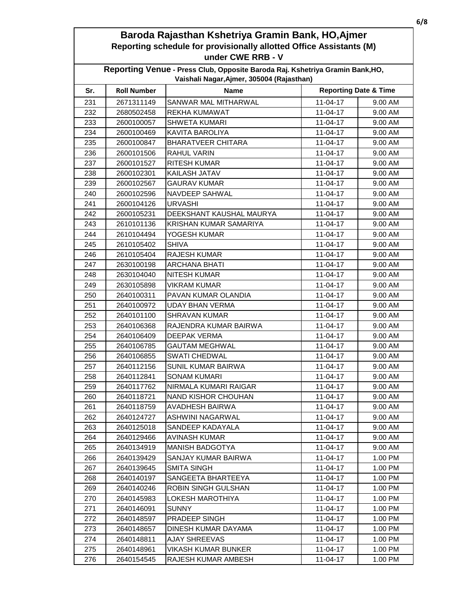| Reporting Venue - Press Club, Opposite Baroda Raj. Kshetriya Gramin Bank, HO,<br>Vaishali Nagar, Ajmer, 305004 (Rajasthan) |                    |                           |                                  |         |  |
|----------------------------------------------------------------------------------------------------------------------------|--------------------|---------------------------|----------------------------------|---------|--|
| Sr.                                                                                                                        | <b>Roll Number</b> | <b>Name</b>               | <b>Reporting Date &amp; Time</b> |         |  |
| 231                                                                                                                        | 2671311149         | SANWAR MAL MITHARWAL      | $11-04-17$                       | 9.00 AM |  |
| 232                                                                                                                        | 2680502458         | <b>REKHA KUMAWAT</b>      | $11-04-17$                       | 9.00 AM |  |
| 233                                                                                                                        | 2600100057         | <b>SHWETA KUMARI</b>      | 11-04-17                         | 9.00 AM |  |
| 234                                                                                                                        | 2600100469         | <b>KAVITA BAROLIYA</b>    | 11-04-17                         | 9.00 AM |  |
| 235                                                                                                                        | 2600100847         | <b>BHARATVEER CHITARA</b> | 11-04-17                         | 9.00 AM |  |
| 236                                                                                                                        | 2600101506         | RAHUL VARIN               | 11-04-17                         | 9.00 AM |  |
| 237                                                                                                                        | 2600101527         | <b>RITESH KUMAR</b>       | 11-04-17                         | 9.00 AM |  |
| 238                                                                                                                        | 2600102301         | KAILASH JATAV             | 11-04-17                         | 9.00 AM |  |
| 239                                                                                                                        | 2600102567         | <b>GAURAV KUMAR</b>       | 11-04-17                         | 9.00 AM |  |
| 240                                                                                                                        | 2600102596         | <b>NAVDEEP SAHWAL</b>     | $11-04-17$                       | 9.00 AM |  |
| 241                                                                                                                        | 2600104126         | <b>URVASHI</b>            | $11-04-17$                       | 9.00 AM |  |
| 242                                                                                                                        | 2600105231         | DEEKSHANT KAUSHAL MAURYA  | 11-04-17                         | 9.00 AM |  |
| 243                                                                                                                        | 2610101136         | KRISHAN KUMAR SAMARIYA    | 11-04-17                         | 9.00 AM |  |
| 244                                                                                                                        | 2610104494         | YOGESH KUMAR              | 11-04-17                         | 9.00 AM |  |
| 245                                                                                                                        | 2610105402         | <b>SHIVA</b>              | $11-04-17$                       | 9.00 AM |  |
| 246                                                                                                                        | 2610105404         | <b>RAJESH KUMAR</b>       | 11-04-17                         | 9.00 AM |  |
| 247                                                                                                                        | 2630100198         | <b>ARCHANA BHATI</b>      | $11-04-17$                       | 9.00 AM |  |
| 248                                                                                                                        | 2630104040         | <b>NITESH KUMAR</b>       | 11-04-17                         | 9.00 AM |  |
| 249                                                                                                                        | 2630105898         | <b>VIKRAM KUMAR</b>       | $11-04-17$                       | 9.00 AM |  |
| 250                                                                                                                        | 2640100311         | PAVAN KUMAR OLANDIA       | $11-04-17$                       | 9.00 AM |  |
| 251                                                                                                                        | 2640100972         | <b>UDAY BHAN VERMA</b>    | 11-04-17                         | 9.00 AM |  |
| 252                                                                                                                        | 2640101100         | <b>SHRAVAN KUMAR</b>      | 11-04-17                         | 9.00 AM |  |
| 253                                                                                                                        | 2640106368         | RAJENDRA KUMAR BAIRWA     | 11-04-17                         | 9.00 AM |  |
| 254                                                                                                                        | 2640106409         | <b>DEEPAK VERMA</b>       | 11-04-17                         | 9.00 AM |  |
| 255                                                                                                                        | 2640106785         | <b>GAUTAM MEGHWAL</b>     | 11-04-17                         | 9.00 AM |  |
| 256                                                                                                                        | 2640106855         | <b>SWATI CHEDWAL</b>      | 11-04-17                         | 9.00 AM |  |
| 257                                                                                                                        | 2640112156         | SUNIL KUMAR BAIRWA        | 11-04-17                         | 9.00 AM |  |
| 258                                                                                                                        | 2640112841         | <b>SONAM KUMARI</b>       | $11-04-17$                       | 9.00 AM |  |
| 259                                                                                                                        | 2640117762         | NIRMALA KUMARI RAIGAR     | $11 - 04 - 17$                   | 9.00 AM |  |
| 260                                                                                                                        | 2640118721         | NAND KISHOR CHOUHAN       | 11-04-17                         | 9.00 AM |  |
| 261                                                                                                                        | 2640118759         | AVADHESH BAIRWA           | 11-04-17                         | 9.00 AM |  |
| 262                                                                                                                        | 2640124727         | ASHWINI NAGARWAL          | 11-04-17                         | 9.00 AM |  |
| 263                                                                                                                        | 2640125018         | SANDEEP KADAYALA          | 11-04-17                         | 9.00 AM |  |
| 264                                                                                                                        | 2640129466         | AVINASH KUMAR             | $11-04-17$                       | 9.00 AM |  |
| 265                                                                                                                        | 2640134919         | <b>MANISH BADGOTYA</b>    | $11-04-17$                       | 9.00 AM |  |
| 266                                                                                                                        | 2640139429         | SANJAY KUMAR BAIRWA       | 11-04-17                         | 1.00 PM |  |
| 267                                                                                                                        | 2640139645         | <b>SMITA SINGH</b>        | 11-04-17                         | 1.00 PM |  |
| 268                                                                                                                        | 2640140197         | SANGEETA BHARTEEYA        | 11-04-17                         | 1.00 PM |  |
| 269                                                                                                                        | 2640140246         | ROBIN SINGH GULSHAN       | 11-04-17                         | 1.00 PM |  |
| 270                                                                                                                        | 2640145983         | LOKESH MAROTHIYA          | 11-04-17                         | 1.00 PM |  |
| 271                                                                                                                        | 2640146091         | <b>SUNNY</b>              | 11-04-17                         | 1.00 PM |  |
| 272                                                                                                                        | 2640148597         | PRADEEP SINGH             | 11-04-17                         | 1.00 PM |  |
| 273                                                                                                                        | 2640148657         | DINESH KUMAR DAYAMA       | 11-04-17                         | 1.00 PM |  |
| 274                                                                                                                        | 2640148811         | <b>AJAY SHREEVAS</b>      | 11-04-17                         | 1.00 PM |  |
| 275                                                                                                                        | 2640148961         | VIKASH KUMAR BUNKER       | 11-04-17                         | 1.00 PM |  |
| 276                                                                                                                        | 2640154545         | RAJESH KUMAR AMBESH       | $11-04-17$                       | 1.00 PM |  |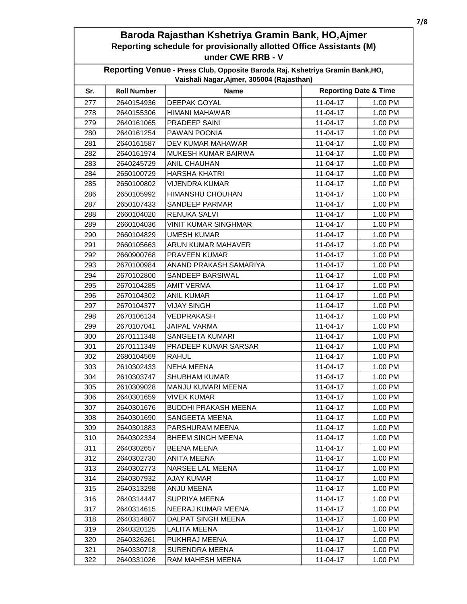| Reporting Venue - Press Club, Opposite Baroda Raj. Kshetriya Gramin Bank, HO,<br>Vaishali Nagar, Ajmer, 305004 (Rajasthan) |                    |                             |                                  |         |  |
|----------------------------------------------------------------------------------------------------------------------------|--------------------|-----------------------------|----------------------------------|---------|--|
| Sr.                                                                                                                        | <b>Roll Number</b> | <b>Name</b>                 | <b>Reporting Date &amp; Time</b> |         |  |
| 277                                                                                                                        | 2640154936         | <b>DEEPAK GOYAL</b>         | $11-04-17$                       | 1.00 PM |  |
| 278                                                                                                                        | 2640155306         | HIMANI MAHAWAR              | 11-04-17                         | 1.00 PM |  |
| 279                                                                                                                        | 2640161065         | <b>PRADEEP SAINI</b>        | 11-04-17                         | 1.00 PM |  |
| 280                                                                                                                        | 2640161254         | PAWAN POONIA                | 11-04-17                         | 1.00 PM |  |
| 281                                                                                                                        | 2640161587         | DEV KUMAR MAHAWAR           | 11-04-17                         | 1.00 PM |  |
| 282                                                                                                                        | 2640161974         | MUKESH KUMAR BAIRWA         | 11-04-17                         | 1.00 PM |  |
| 283                                                                                                                        | 2640245729         | <b>ANIL CHAUHAN</b>         | 11-04-17                         | 1.00 PM |  |
| 284                                                                                                                        | 2650100729         | <b>HARSHA KHATRI</b>        | $11-04-17$                       | 1.00 PM |  |
| 285                                                                                                                        | 2650100802         | <b>VIJENDRA KUMAR</b>       | $11 - 04 - 17$                   | 1.00 PM |  |
| 286                                                                                                                        | 2650105992         | <b>HIMANSHU CHOUHAN</b>     | 11-04-17                         | 1.00 PM |  |
| 287                                                                                                                        | 2650107433         | SANDEEP PARMAR              | 11-04-17                         | 1.00 PM |  |
| 288                                                                                                                        | 2660104020         | <b>RENUKA SALVI</b>         | 11-04-17                         | 1.00 PM |  |
| 289                                                                                                                        | 2660104036         | <b>VINIT KUMAR SINGHMAR</b> | 11-04-17                         | 1.00 PM |  |
| 290                                                                                                                        | 2660104829         | <b>UMESH KUMAR</b>          | 11-04-17                         | 1.00 PM |  |
| 291                                                                                                                        | 2660105663         | <b>ARUN KUMAR MAHAVER</b>   | 11-04-17                         | 1.00 PM |  |
| 292                                                                                                                        | 2660900768         | <b>PRAVEEN KUMAR</b>        | 11-04-17                         | 1.00 PM |  |
| 293                                                                                                                        | 2670100984         | ANAND PRAKASH SAMARIYA      | $11-04-17$                       | 1.00 PM |  |
| 294                                                                                                                        | 2670102800         | <b>SANDEEP BARSIWAL</b>     | 11-04-17                         | 1.00 PM |  |
| 295                                                                                                                        | 2670104285         | <b>AMIT VERMA</b>           | 11-04-17                         | 1.00 PM |  |
| 296                                                                                                                        | 2670104302         | ANIL KUMAR                  | 11-04-17                         | 1.00 PM |  |
| 297                                                                                                                        | 2670104377         | <b>VIJAY SINGH</b>          | 11-04-17                         | 1.00 PM |  |
| 298                                                                                                                        | 2670106134         | <b>VEDPRAKASH</b>           | $11-04-17$                       | 1.00 PM |  |
| 299                                                                                                                        | 2670107041         | <b>JAIPAL VARMA</b>         | $11-04-17$                       | 1.00 PM |  |
| 300                                                                                                                        | 2670111348         | SANGEETA KUMARI             | 11-04-17                         | 1.00 PM |  |
| 301                                                                                                                        | 2670111349         | PRADEEP KUMAR SARSAR        | 11-04-17                         | 1.00 PM |  |
| 302                                                                                                                        | 2680104569         | <b>RAHUL</b>                | 11-04-17                         | 1.00 PM |  |
| 303                                                                                                                        | 2610302433         | <b>NEHA MEENA</b>           | 11-04-17                         | 1.00 PM |  |
| 304                                                                                                                        | 2610303747         | SHUBHAM KUMAR               | 11-04-17                         | 1.00 PM |  |
| 305                                                                                                                        | 2610309028         | MANJU KUMARI MEENA          | 11-04-17                         | 1.00 PM |  |
| 306                                                                                                                        | 2640301659         | <b>VIVEK KUMAR</b>          | 11-04-17                         | 1.00 PM |  |
| 307                                                                                                                        | 2640301676         | <b>BUDDHI PRAKASH MEENA</b> | $11-04-17$                       | 1.00 PM |  |
| 308                                                                                                                        | 2640301690         | SANGEETA MEENA              | $11-04-17$                       | 1.00 PM |  |
| 309                                                                                                                        | 2640301883         | PARSHURAM MEENA             | 11-04-17                         | 1.00 PM |  |
| 310                                                                                                                        | 2640302334         | <b>BHEEM SINGH MEENA</b>    | 11-04-17                         | 1.00 PM |  |
| 311                                                                                                                        | 2640302657         | <b>BEENA MEENA</b>          | $11-04-17$                       | 1.00 PM |  |
| 312                                                                                                                        | 2640302730         | <b>ANITA MEENA</b>          | 11-04-17                         | 1.00 PM |  |
| 313                                                                                                                        | 2640302773         | NARSEE LAL MEENA            | 11-04-17                         | 1.00 PM |  |
| 314                                                                                                                        | 2640307932         | AJAY KUMAR                  | $11-04-17$                       | 1.00 PM |  |
| 315                                                                                                                        | 2640313298         | ANJU MEENA                  | 11-04-17                         | 1.00 PM |  |
| 316                                                                                                                        | 2640314447         | <b>SUPRIYA MEENA</b>        | $11-04-17$                       | 1.00 PM |  |
| 317                                                                                                                        | 2640314615         | NEERAJ KUMAR MEENA          | $11-04-17$                       | 1.00 PM |  |
| 318                                                                                                                        | 2640314807         | DALPAT SINGH MEENA          | 11-04-17                         | 1.00 PM |  |
| 319                                                                                                                        | 2640320125         | LALITA MEENA                | 11-04-17                         | 1.00 PM |  |
| 320                                                                                                                        | 2640326261         | PUKHRAJ MEENA               | 11-04-17                         | 1.00 PM |  |
| 321                                                                                                                        | 2640330718         | SURENDRA MEENA              | 11-04-17                         | 1.00 PM |  |
| 322                                                                                                                        | 2640331026         | RAM MAHESH MEENA            | 11-04-17                         | 1.00 PM |  |